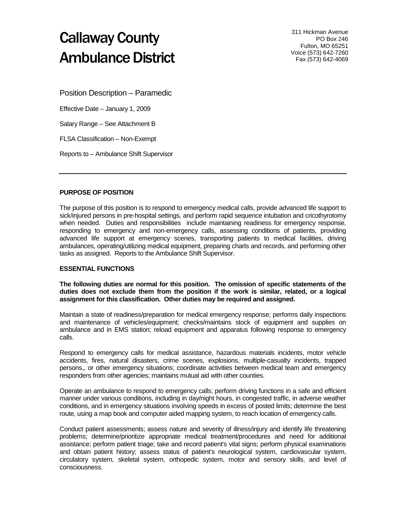# Callaway County Ambulance District

311 Hickman Avenue PO Box 246 Fulton, MO 65251 Voice (573) 642-7260 Fax (573) 642-4069

Position Description – Paramedic

Effective Date – January 1, 2009

Salary Range – See Attachment B

FLSA Classification – Non-Exempt

Reports to – Ambulance Shift Supervisor

# **PURPOSE OF POSITION**

The purpose of this position is to respond to emergency medical calls, provide advanced life support to sick/injured persons in pre-hospital settings, and perform rapid sequence intubation and cricothyrotomy when needed. Duties and responsibilities include maintaining readiness for emergency response, responding to emergency and non-emergency calls, assessing conditions of patients, providing advanced life support at emergency scenes, transporting patients to medical facilities, driving ambulances, operating/utilizing medical equipment, preparing charts and records, and performing other tasks as assigned. Reports to the Ambulance Shift Supervisor.

## **ESSENTIAL FUNCTIONS**

**The following duties are normal for this position. The omission of specific statements of the duties does not exclude them from the position if the work is similar, related, or a logical assignment for this classification. Other duties may be required and assigned.**

Maintain a state of readiness/preparation for medical emergency response; performs daily inspections and maintenance of vehicles/equipment; checks/maintains stock of equipment and supplies on ambulance and in EMS station; reload equipment and apparatus following response to emergency calls.

Respond to emergency calls for medical assistance, hazardous materials incidents, motor vehicle accidents, fires, natural disasters, crime scenes, explosions, multiple-casualty incidents, trapped persons,, or other emergency situations; coordinate activities between medical team and emergency responders from other agencies; maintains mutual aid with other counties.

Operate an ambulance to respond to emergency calls; perform driving functions in a safe and efficient manner under various conditions, including in day/night hours, in congested traffic, in adverse weather conditions, and in emergency situations involving speeds in excess of posted limits; determine the best route, using a map book and computer aided mapping system, to reach location of emergency calls.

Conduct patient assessments; assess nature and severity of illness/injury and identify life threatening problems; determine/prioritize appropriate medical treatment/procedures and need for additional assistance; perform patient triage; take and record patient's vital signs; perform physical examinations and obtain patient history; assess status of patient's neurological system, cardiovascular system, circulatory system, skeletal system, orthopedic system, motor and sensory skills, and level of consciousness.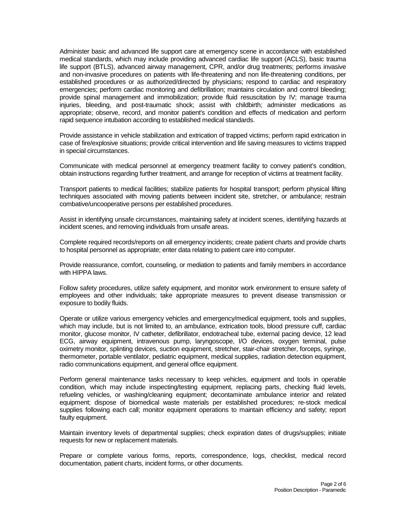Administer basic and advanced life support care at emergency scene in accordance with established medical standards, which may include providing advanced cardiac life support (ACLS), basic trauma life support (BTLS), advanced airway management, CPR, and/or drug treatments; performs invasive and non-invasive procedures on patients with life-threatening and non life-threatening conditions, per established procedures or as authorized/directed by physicians; respond to cardiac and respiratory emergencies; perform cardiac monitoring and defibrillation; maintains circulation and control bleeding; provide spinal management and immobilization; provide fluid resuscitation by IV; manage trauma injuries, bleeding, and post-traumatic shock; assist with childbirth; administer medications as appropriate; observe, record, and monitor patient's condition and effects of medication and perform rapid sequence intubation according to established medical standards.

Provide assistance in vehicle stabilization and extrication of trapped victims; perform rapid extrication in case of fire/explosive situations; provide critical intervention and life saving measures to victims trapped in special circumstances.

Communicate with medical personnel at emergency treatment facility to convey patient's condition, obtain instructions regarding further treatment, and arrange for reception of victims at treatment facility.

Transport patients to medical facilities; stabilize patients for hospital transport; perform physical lifting techniques associated with moving patients between incident site, stretcher, or ambulance; restrain combative/uncooperative persons per established procedures.

Assist in identifying unsafe circumstances, maintaining safety at incident scenes, identifying hazards at incident scenes, and removing individuals from unsafe areas.

Complete required records/reports on all emergency incidents; create patient charts and provide charts to hospital personnel as appropriate; enter data relating to patient care into computer.

Provide reassurance, comfort, counseling, or mediation to patients and family members in accordance with HIPPA laws.

Follow safety procedures, utilize safety equipment, and monitor work environment to ensure safety of employees and other individuals; take appropriate measures to prevent disease transmission or exposure to bodily fluids.

Operate or utilize various emergency vehicles and emergency/medical equipment, tools and supplies, which may include, but is not limited to, an ambulance, extrication tools, blood pressure cuff, cardiac monitor, glucose monitor, IV catheter, defibrillator, endotracheal tube, external pacing device, 12 lead ECG, airway equipment, intravenous pump, laryngoscope, I/O devices, oxygen terminal, pulse oximetry monitor, splinting devices, suction equipment, stretcher, stair-chair stretcher, forceps, syringe, thermometer, portable ventilator, pediatric equipment, medical supplies, radiation detection equipment, radio communications equipment, and general office equipment.

Perform general maintenance tasks necessary to keep vehicles, equipment and tools in operable condition, which may include inspecting/testing equipment, replacing parts, checking fluid levels, refueling vehicles, or washing/cleaning equipment; decontaminate ambulance interior and related equipment; dispose of biomedical waste materials per established procedures; re-stock medical supplies following each call; monitor equipment operations to maintain efficiency and safety; report faulty equipment.

Maintain inventory levels of departmental supplies; check expiration dates of drugs/supplies; initiate requests for new or replacement materials.

Prepare or complete various forms, reports, correspondence, logs, checklist, medical record documentation, patient charts, incident forms, or other documents.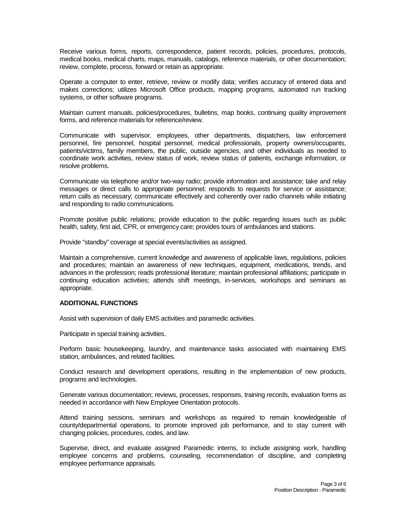Receive various forms, reports, correspondence, patient records, policies, procedures, protocols, medical books, medical charts, maps, manuals, catalogs, reference materials, or other documentation; review, complete, process, forward or retain as appropriate.

Operate a computer to enter, retrieve, review or modify data; verifies accuracy of entered data and makes corrections; utilizes Microsoft Office products, mapping programs, automated run tracking systems, or other software programs.

Maintain current manuals, policies/procedures, bulletins, map books, continuing quality improvement forms, and reference materials for reference/review.

Communicate with supervisor, employees, other departments, dispatchers, law enforcement personnel, fire personnel, hospital personnel, medical professionals, property owners/occupants, patients/victims, family members, the public, outside agencies, and other individuals as needed to coordinate work activities, review status of work, review status of patients, exchange information, or resolve problems.

Communicate via telephone and/or two-way radio; provide information and assistance; take and relay messages or direct calls to appropriate personnel; responds to requests for service or assistance; return calls as necessary; communicate effectively and coherently over radio channels while initiating and responding to radio communications.

Promote positive public relations; provide education to the public regarding issues such as public health, safety, first aid, CPR, or emergency care; provides tours of ambulances and stations.

Provide "standby" coverage at special events/activities as assigned.

Maintain a comprehensive, current knowledge and awareness of applicable laws, regulations, policies and procedures; maintain an awareness of new techniques, equipment, medications, trends, and advances in the profession; reads professional literature; maintain professional affiliations; participate in continuing education activities; attends shift meetings, in-services, workshops and seminars as appropriate.

## **ADDITIONAL FUNCTIONS**

Assist with supervision of daily EMS activities and paramedic activities.

Participate in special training activities.

Perform basic housekeeping, laundry, and maintenance tasks associated with maintaining EMS station, ambulances, and related facilities.

Conduct research and development operations, resulting in the implementation of new products, programs and technologies.

Generate various documentation; reviews, processes, responses, training records, evaluation forms as needed in accordance with New Employee Orientation protocols.

Attend training sessions, seminars and workshops as required to remain knowledgeable of county/departmental operations, to promote improved job performance, and to stay current with changing policies, procedures, codes, and law.

Supervise, direct, and evaluate assigned Paramedic interns, to include assigning work, handling employee concerns and problems, counseling, recommendation of discipline, and completing employee performance appraisals.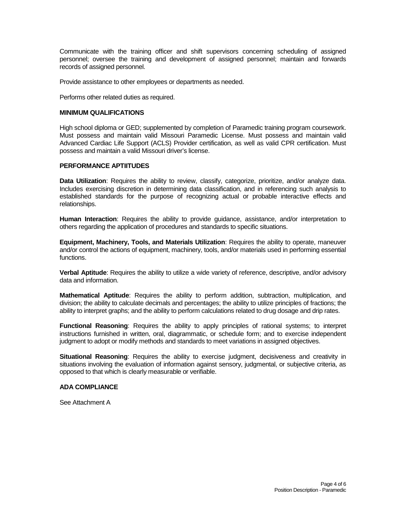Communicate with the training officer and shift supervisors concerning scheduling of assigned personnel; oversee the training and development of assigned personnel; maintain and forwards records of assigned personnel.

Provide assistance to other employees or departments as needed.

Performs other related duties as required.

### **MINIMUM QUALIFICATIONS**

High school diploma or GED; supplemented by completion of Paramedic training program coursework. Must possess and maintain valid Missouri Paramedic License. Must possess and maintain valid Advanced Cardiac Life Support (ACLS) Provider certification, as well as valid CPR certification. Must possess and maintain a valid Missouri driver's license.

## **PERFORMANCE APTIITUDES**

**Data Utilization**: Requires the ability to review, classify, categorize, prioritize, and/or analyze data. Includes exercising discretion in determining data classification, and in referencing such analysis to established standards for the purpose of recognizing actual or probable interactive effects and relationships.

**Human Interaction**: Requires the ability to provide guidance, assistance, and/or interpretation to others regarding the application of procedures and standards to specific situations.

**Equipment, Machinery, Tools, and Materials Utilization**: Requires the ability to operate, maneuver and/or control the actions of equipment, machinery, tools, and/or materials used in performing essential functions.

**Verbal Aptitude**: Requires the ability to utilize a wide variety of reference, descriptive, and/or advisory data and information.

**Mathematical Aptitude**: Requires the ability to perform addition, subtraction, multiplication, and division; the ability to calculate decimals and percentages; the ability to utilize principles of fractions; the ability to interpret graphs; and the ability to perform calculations related to drug dosage and drip rates.

**Functional Reasoning**: Requires the ability to apply principles of rational systems; to interpret instructions furnished in written, oral, diagrammatic, or schedule form; and to exercise independent judgment to adopt or modify methods and standards to meet variations in assigned objectives.

**Situational Reasoning**: Requires the ability to exercise judgment, decisiveness and creativity in situations involving the evaluation of information against sensory, judgmental, or subjective criteria, as opposed to that which is clearly measurable or verifiable.

## **ADA COMPLIANCE**

See Attachment A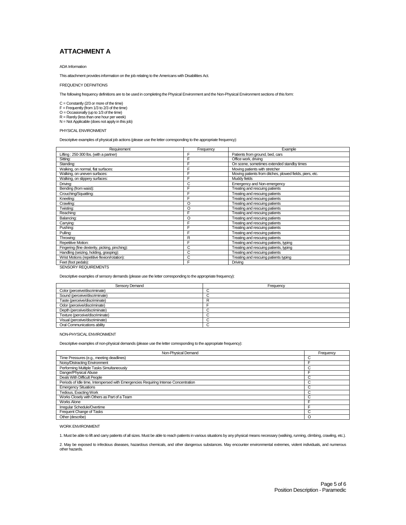# **ATTACHMENT A**

#### ADA Information

This attachment provides information on the job relating to the Americans with Disabilities Act.

#### FREQUENCY DEFINITIONS

The following frequency definitions are to be used in completing the Physical Environment and the Non-Physical Environment sections of this form:

C = Constantly (2/3 or more of the time) F = Frequently (from 1/3 to 2/3 of the time) O = Occasionally (up to 1/3 of the time) R = Rarely (less than one hour per week)

N = Not Applicable (does not apply in this job)

#### PHYSICAL ENVIRONMENT

Descriptive examples of physical job actions (please use the letter corresponding to the appropriate frequency):

| Frequency | Example                                                  |
|-----------|----------------------------------------------------------|
| F         | Patients from ground, bed, cars                          |
| F         | Office work, driving                                     |
| F         | On scene, sometimes extended standby times               |
| F         | Moving patients with stretcher                           |
| F         | Moving patients from ditches, plowed fields, piers, etc. |
| F         | Muddy fields                                             |
| С         | Emergency and Non-emergency                              |
| F         | Treating and rescuing patients                           |
| F         | Treating and rescuing patients                           |
| F         | Treating and rescuing patients                           |
| O         | Treating and rescuing patients                           |
| O         | Treating and rescuing patients                           |
| F         | Treating and rescuing patients                           |
| O         | Treating and rescuing patients                           |
| F         | Treating and rescuing patients                           |
| F         | Treating and rescuing patients                           |
| F         | Treating and rescuing patients                           |
| R         | Treating and rescuing patients                           |
| F         | Treating and rescuing patients, typing                   |
| C         | Treating and rescuing patients, typing                   |
| C         | Treating and rescuing patients                           |
| C         | Treating and rescuing patients typing                    |
| F         | Driving                                                  |
|           |                                                          |

SENSORY REQUIREMENTS

Descriptive examples of sensory demands (please use the letter corresponding to the appropriate frequency):

| Sensory Demand                  | Frequency |
|---------------------------------|-----------|
| Color (perceive/discriminate)   |           |
| Sound (perceive/discriminate)   |           |
| Taste (perceive/discriminate)   |           |
| Odor (perceive/discriminate)    |           |
| Depth (perceive/discriminate)   |           |
| Texture (perceive/discriminate) |           |
| Visual (perceive/discriminate)  |           |
| Oral Communications ability     |           |

#### NON-PHYSICAL ENVIRONMENT

Descriptive examples of non-physical demands (please use the letter corresponding to the appropriate frequency):

| Non-Physical Demand                                                                 | Frequency   |
|-------------------------------------------------------------------------------------|-------------|
| Time Pressures (e.g., meeting deadlines)                                            | $\sim$<br>U |
| Noisy/Distracting Environment                                                       | ⊏           |
| Performing Multiple Tasks Simultaneously                                            | С           |
| Danger/Physical Abuse                                                               |             |
| Deals With Difficult People                                                         | C           |
| Periods of Idle time, Interspersed with Emergencies Requiring Intense Concentration | C           |
| <b>Emergency Situations</b>                                                         | C           |
| Tedious, Exacting Work                                                              | С           |
| Works Closely with Others as Part of a Team                                         | C           |
| Works Alone                                                                         |             |
| Irregular Schedule/Overtime                                                         |             |
| Frequent Change of Tasks                                                            | С           |
| Other (describe)                                                                    | $\Omega$    |

WORK ENVIRONMENT

1. Must be able to lift and carry patients of all sizes. Must be able to reach patients in various situations by any physical means necessary (walking, running, climbing, crawling, etc.).

2. May be exposed to infectious diseases, hazardous chemicals, and other dangerous substances. May encounter environmental extremes, violent individuals, and numerous other hazards.